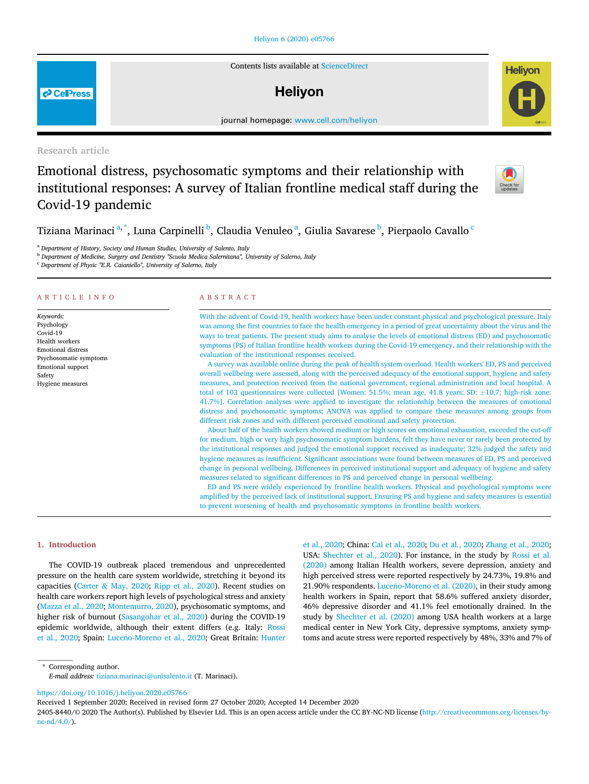# [Heliyon 6 \(2020\) e05766](https://doi.org/10.1016/j.heliyon.2020.e05766)

Contents lists available at [ScienceDirect](www.sciencedirect.com/science/journal/24058440)

# **Helivon**

journal home page: www.cell.com/helixon/helixon/helixon/helixon/helixon/helixon/helixon/helixon/helixon/helixon/helixon/helixon/helixon/helixon/helixon/helixon/helixon/helixon/helixon/helixon/helixon/helixon/helixon/helix

Research article

**P** CellPress

# Emotional distress, psychosomatic symptoms and their relationship with institutional responses: A survey of Italian frontline medical staff during the Covid-19 pandemic



**Helivon** 

Tizi[a](#page-0-0)na Marina[c](#page-0-3)i $\mathrm{^{a,\tilde{^a},}}$  $\mathrm{^{a,\tilde{^a},}}$  $\mathrm{^{a,\tilde{^a},}}$ , Luna Carpinelli $\mathrm{^{b,}}$  $\mathrm{^{b,}}$  $\mathrm{^{b,}}$  Claudia Venuleo $\mathrm{^{a,}}$  Giulia Savarese $\mathrm{^{b,}}$  Pierpaolo Cavallo  $\mathrm{^{c}}$ 

<span id="page-0-0"></span><sup>a</sup> Department of History, Society and Human Studies, University of Salento, Italy

<span id="page-0-2"></span><sup>b</sup> Department of Medicine, Surgery and Dentistry "Scuola Medica Salernitana", University of Salerno, Italy

<span id="page-0-3"></span><sup>c</sup> Department of Physic "E.R. Caianiello", University of Salerno, Italy

#### ARTICLE INFO

Keywords: Psychology Covid-19 Health workers Emotional distress Psychosomatic symptoms Emotional support Safety Hygiene measures

# ABSTRACT

With the advent of Covid-19, health workers have been under constant physical and psychological pressure. Italy was among the first countries to face the health emergency in a period of great uncertainty about the virus and the ways to treat patients. The present study aims to analyse the levels of emotional distress (ED) and psychosomatic symptoms (PS) of Italian frontline health workers during the Covid-19 emergency, and their relationship with the evaluation of the institutional responses received.

A survey was available online during the peak of health system overload. Health workers' ED, PS and perceived overall wellbeing were assessed, along with the perceived adequacy of the emotional support, hygiene and safety measures, and protection received from the national government, regional administration and local hospital. A total of 103 questionnaires were collected [Women: 51.5%; mean age, 41.8 years; SD:  $\pm$ 10,7; high-risk zone: 41.7%]. Correlation analyses were applied to investigate the relationship between the measures of emotional distress and psychosomatic symptoms; ANOVA was applied to compare these measures among groups from different risk zones and with different perceived emotional and safety protection.

About half of the health workers showed medium or high scores on emotional exhaustion, exceeded the cut-off for medium, high or very high psychosomatic symptom burdens, felt they have never or rarely been protected by the institutional responses and judged the emotional support received as inadequate; 32% judged the safety and hygiene measures as insufficient. Significant associations were found between measures of ED, PS and perceived change in personal wellbeing. Differences in perceived institutional support and adequacy of hygiene and safety measures related to significant differences in PS and perceived change in personal wellbeing.

ED and PS were widely experienced by frontline health workers. Physical and psychological symptoms were amplified by the perceived lack of institutional support. Ensuring PS and hygiene and safety measures is essential to prevent worsening of health and psychosomatic symptoms in frontline health workers.

## 1. Introduction

The COVID-19 outbreak placed tremendous and unprecedented pressure on the health care system worldwide, stretching it beyond its capacities ([Carter](#page-8-0) & [May, 2020;](#page-8-0) [Ripp et al., 2020](#page-9-0)). Recent studies on health care workers report high levels of psychological stress and anxiety ([Mazza et al., 2020;](#page-8-1) [Montemurro, 2020](#page-8-2)), psychosomatic symptoms, and higher risk of burnout [\(Sasangohar et al., 2020\)](#page-9-1) during the COVID-19 epidemic worldwide, although their extent differs (e.g. Italy: [Rossi](#page-9-2) [et al., 2020;](#page-9-2) Spain: Luceño-Moreno et al., 2020; Great Britain: [Hunter](#page-8-4) [et al., 2020;](#page-8-4) China: [Cai et al., 2020;](#page-8-5) [Du et al., 2020;](#page-8-6) [Zhang et al., 2020;](#page-9-3) USA: [Shechter et al., 2020](#page-9-4)). For instance, in the study by [Rossi et al.](#page-9-2) [\(2020\)](#page-9-2) among Italian Health workers, severe depression, anxiety and high perceived stress were reported respectively by 24.73%, 19.8% and 21.90% respondents. Luceño-Moreno et al. (2020), in their study among health workers in Spain, report that 58.6% suffered anxiety disorder, 46% depressive disorder and 41.1% feel emotionally drained. In the study by [Shechter et al. \(2020\)](#page-9-4) among USA health workers at a large medical center in New York City, depressive symptoms, anxiety symptoms and acute stress were reported respectively by 48%, 33% and 7% of

<span id="page-0-1"></span>\* Corresponding author. E-mail address: [tiziana.marinaci@unisalento.it](mailto:tiziana.marinaci@unisalento.it) (T. Marinaci).

<https://doi.org/10.1016/j.heliyon.2020.e05766>

Received 1 September 2020; Received in revised form 27 October 2020; Accepted 14 December 2020

2405-8440/© 2020 The Author(s). Published by Elsevier Ltd. This is an open access article under the CC BY-NC-ND license [\(http://creativecommons.org/licenses/by](http://creativecommons.org/licenses/by-nc-nd/4.0/) $nc-nd/4.0/$ ).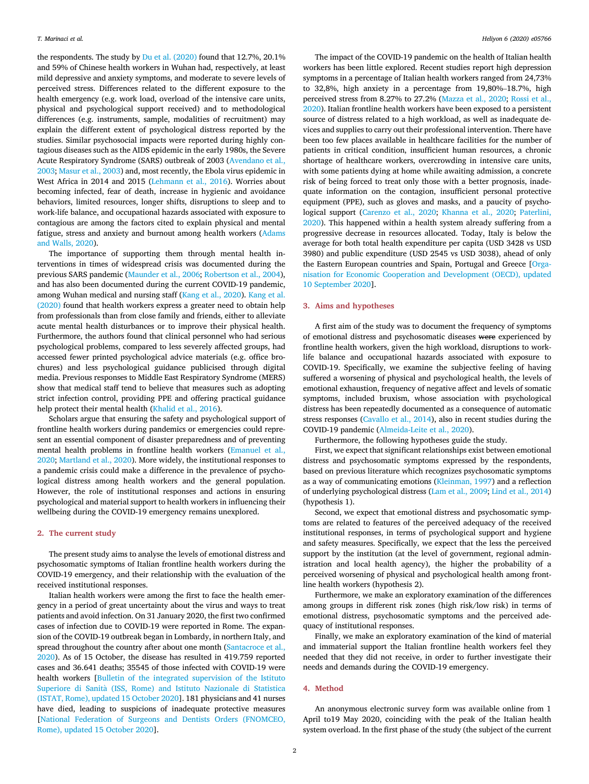the respondents. The study by [Du et al. \(2020\)](#page-8-6) found that 12.7%, 20.1% and 59% of Chinese health workers in Wuhan had, respectively, at least mild depressive and anxiety symptoms, and moderate to severe levels of perceived stress. Differences related to the different exposure to the health emergency (e.g. work load, overload of the intensive care units, physical and psychological support received) and to methodological differences (e.g. instruments, sample, modalities of recruitment) may explain the different extent of psychological distress reported by the studies. Similar psychosocial impacts were reported during highly contagious diseases such as the AIDS epidemic in the early 1980s, the Severe Acute Respiratory Syndrome (SARS) outbreak of 2003 [\(Avendano et al.,](#page-8-7) [2003;](#page-8-7) [Masur et al., 2003\)](#page-8-8) and, most recently, the Ebola virus epidemic in West Africa in 2014 and 2015 [\(Lehmann et al., 2016](#page-8-9)). Worries about becoming infected, fear of death, increase in hygienic and avoidance behaviors, limited resources, longer shifts, disruptions to sleep and to work-life balance, and occupational hazards associated with exposure to contagious are among the factors cited to explain physical and mental fatigue, stress and anxiety and burnout among health workers [\(Adams](#page-8-10) [and Walls, 2020](#page-8-10)).

The importance of supporting them through mental health interventions in times of widespread crisis was documented during the previous SARS pandemic ([Maunder et al., 2006](#page-8-11); [Robertson et al., 2004\)](#page-9-5), and has also been documented during the current COVID-19 pandemic, among Wuhan medical and nursing staff [\(Kang et al., 2020\)](#page-8-12). [Kang et al.](#page-8-12) [\(2020\)](#page-8-12) found that health workers express a greater need to obtain help from professionals than from close family and friends, either to alleviate acute mental health disturbances or to improve their physical health. Furthermore, the authors found that clinical personnel who had serious psychological problems, compared to less severely affected groups, had accessed fewer printed psychological advice materials (e.g. office brochures) and less psychological guidance publicised through digital media. Previous responses to Middle East Respiratory Syndrome (MERS) show that medical staff tend to believe that measures such as adopting strict infection control, providing PPE and offering practical guidance help protect their mental health ([Khalid et al., 2016\)](#page-8-13).

Scholars argue that ensuring the safety and psychological support of frontline health workers during pandemics or emergencies could represent an essential component of disaster preparedness and of preventing mental health problems in frontline health workers [\(Emanuel et al.,](#page-8-14) [2020;](#page-8-14) [Martland et al., 2020](#page-8-15)). More widely, the institutional responses to a pandemic crisis could make a difference in the prevalence of psychological distress among health workers and the general population. However, the role of institutional responses and actions in ensuring psychological and material support to health workers in influencing their wellbeing during the COVID-19 emergency remains unexplored.

## 2. The current study

The present study aims to analyse the levels of emotional distress and psychosomatic symptoms of Italian frontline health workers during the COVID-19 emergency, and their relationship with the evaluation of the received institutional responses.

Italian health workers were among the first to face the health emergency in a period of great uncertainty about the virus and ways to treat patients and avoid infection. On 31 January 2020, the first two confirmed cases of infection due to COVID-19 were reported in Rome. The expansion of the COVID-19 outbreak began in Lombardy, in northern Italy, and spread throughout the country after about one month [\(Santacroce et al.,](#page-9-6) [2020\)](#page-9-6). As of 15 October, the disease has resulted in 419.759 reported cases and 36.641 deaths; 35545 of those infected with COVID-19 were health workers [\[Bulletin of the integrated supervision of the Istituto](#page-8-16) [Superiore di Sanit](#page-8-16)à (ISS, Rome) and Istituto Nazionale di Statistica [\(ISTAT, Rome\), updated 15 October 2020\]](#page-8-16). 181 physicians and 41 nurses have died, leading to suspicions of inadequate protective measures [[National Federation of Surgeons and Dentists Orders \(FNOMCEO,](#page-8-17) [Rome\), updated 15 October 2020](#page-8-17)].

The impact of the COVID-19 pandemic on the health of Italian health workers has been little explored. Recent studies report high depression symptoms in a percentage of Italian health workers ranged from 24,73% to 32,8%, high anxiety in a percentage from 19,80%–18.7%, high perceived stress from 8.27% to 27.2% ([Mazza et al., 2020](#page-8-1); [Rossi et al.,](#page-9-2) [2020\)](#page-9-2). Italian frontline health workers have been exposed to a persistent source of distress related to a high workload, as well as inadequate devices and supplies to carry out their professional intervention. There have been too few places available in healthcare facilities for the number of patients in critical condition, insufficient human resources, a chronic shortage of healthcare workers, overcrowding in intensive care units, with some patients dying at home while awaiting admission, a concrete risk of being forced to treat only those with a better prognosis, inadequate information on the contagion, insufficient personal protective equipment (PPE), such as gloves and masks, and a paucity of psychological support ([Carenzo et al., 2020](#page-8-18); [Khanna et al., 2020;](#page-8-19) [Paterlini,](#page-8-20) [2020\)](#page-8-20). This happened within a health system already suffering from a progressive decrease in resources allocated. Today, Italy is below the average for both total health expenditure per capita (USD 3428 vs USD 3980) and public expenditure (USD 2545 vs USD 3038), ahead of only the Eastern European countries and Spain, Portugal and Greece [\[Orga](#page-8-21)[nisation for Economic Cooperation and Development \(OECD\), updated](#page-8-21) [10 September 2020](#page-8-21)].

# 3. Aims and hypotheses

A first aim of the study was to document the frequency of symptoms of emotional distress and psychosomatic diseases were experienced by frontline health workers, given the high workload, disruptions to worklife balance and occupational hazards associated with exposure to COVID-19. Specifically, we examine the subjective feeling of having suffered a worsening of physical and psychological health, the levels of emotional exhaustion, frequency of negative affect and levels of somatic symptoms, included bruxism, whose association with psychological distress has been repeatedly documented as a consequence of automatic stress responses [\(Cavallo et al., 2014](#page-8-22)), also in recent studies during the COVID-19 pandemic ([Almeida-Leite et al., 2020](#page-8-23)).

Furthermore, the following hypotheses guide the study.

First, we expect that significant relationships exist between emotional distress and psychosomatic symptoms expressed by the respondents, based on previous literature which recognizes psychosomatic symptoms as a way of communicating emotions ([Kleinman, 1997\)](#page-8-24) and a reflection of underlying psychological distress [\(Lam et al., 2009](#page-8-25); [Lind et al., 2014\)](#page-8-26) (hypothesis 1).

Second, we expect that emotional distress and psychosomatic symptoms are related to features of the perceived adequacy of the received institutional responses, in terms of psychological support and hygiene and safety measures. Specifically, we expect that the less the perceived support by the institution (at the level of government, regional administration and local health agency), the higher the probability of a perceived worsening of physical and psychological health among frontline health workers (hypothesis 2).

Furthermore, we make an exploratory examination of the differences among groups in different risk zones (high risk/low risk) in terms of emotional distress, psychosomatic symptoms and the perceived adequacy of institutional responses.

Finally, we make an exploratory examination of the kind of material and immaterial support the Italian frontline health workers feel they needed that they did not receive, in order to further investigate their needs and demands during the COVID-19 emergency.

# 4. Method

An anonymous electronic survey form was available online from 1 April to19 May 2020, coinciding with the peak of the Italian health system overload. In the first phase of the study (the subject of the current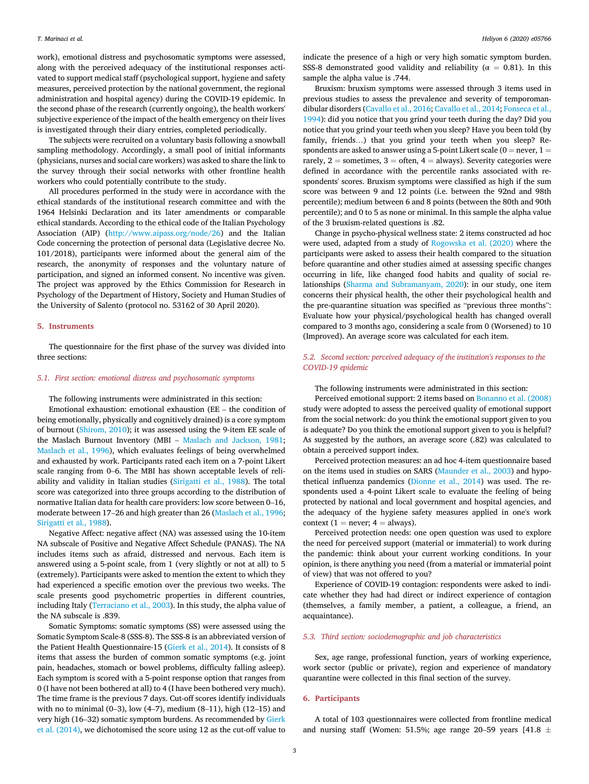work), emotional distress and psychosomatic symptoms were assessed, along with the perceived adequacy of the institutional responses activated to support medical staff (psychological support, hygiene and safety measures, perceived protection by the national government, the regional administration and hospital agency) during the COVID-19 epidemic. In the second phase of the research (currently ongoing), the health workers' subjective experience of the impact of the health emergency on their lives is investigated through their diary entries, completed periodically.

The subjects were recruited on a voluntary basis following a snowball sampling methodology. Accordingly, a small pool of initial informants (physicians, nurses and social care workers) was asked to share the link to the survey through their social networks with other frontline health workers who could potentially contribute to the study.

All procedures performed in the study were in accordance with the ethical standards of the institutional research committee and with the 1964 Helsinki Declaration and its later amendments or comparable ethical standards. According to the ethical code of the Italian Psychology Association (AIP) (<http://www.aipass.org/node/26>) and the Italian Code concerning the protection of personal data (Legislative decree No. 101/2018), participants were informed about the general aim of the research, the anonymity of responses and the voluntary nature of participation, and signed an informed consent. No incentive was given. The project was approved by the Ethics Commission for Research in Psychology of the Department of History, Society and Human Studies of the University of Salento (protocol no. 53162 of 30 April 2020).

# 5. Instruments

The questionnaire for the first phase of the survey was divided into three sections:

## 5.1. First section: emotional distress and psychosomatic symptoms

The following instruments were administrated in this section:

Emotional exhaustion: emotional exhaustion (EE – the condition of being emotionally, physically and cognitively drained) is a core symptom of burnout [\(Shirom, 2010](#page-9-7)); it was assessed using the 9-item EE scale of the Maslach Burnout Inventory (MBI – [Maslach and Jackson, 1981;](#page-8-27) [Maslach et al., 1996\)](#page-8-28), which evaluates feelings of being overwhelmed and exhausted by work. Participants rated each item on a 7-point Likert scale ranging from 0–6. The MBI has shown acceptable levels of reliability and validity in Italian studies [\(Sirigatti et al., 1988\)](#page-9-8). The total score was categorized into three groups according to the distribution of normative Italian data for health care providers: low score between 0–16, moderate between 17–26 and high greater than 26 [\(Maslach et al., 1996;](#page-8-28) [Sirigatti et al., 1988\)](#page-9-8).

Negative Affect: negative affect (NA) was assessed using the 10-item NA subscale of Positive and Negative Affect Schedule (PANAS). The NA includes items such as afraid, distressed and nervous. Each item is answered using a 5-point scale, from 1 (very slightly or not at all) to 5 (extremely). Participants were asked to mention the extent to which they had experienced a specific emotion over the previous two weeks. The scale presents good psychometric properties in different countries, including Italy [\(Terraciano et al., 2003](#page-9-9)). In this study, the alpha value of the NA subscale is .839.

Somatic Symptoms: somatic symptoms (SS) were assessed using the Somatic Symptom Scale-8 (SSS-8). The SSS-8 is an abbreviated version of the Patient Health Questionnaire-15 [\(Gierk et al., 2014\)](#page-8-29). It consists of 8 items that assess the burden of common somatic symptoms (e.g. joint pain, headaches, stomach or bowel problems, difficulty falling asleep). Each symptom is scored with a 5-point response option that ranges from 0 (I have not been bothered at all) to 4 (I have been bothered very much). The time frame is the previous 7 days. Cut-off scores identify individuals with no to minimal (0-3), low (4-7), medium  $(8-11)$ , high  $(12-15)$  and very high (16–32) somatic symptom burdens. As recommended by [Gierk](#page-8-29) [et al. \(2014\)](#page-8-29), we dichotomised the score using 12 as the cut-off value to indicate the presence of a high or very high somatic symptom burden. SSS-8 demonstrated good validity and reliability ( $\alpha = 0.81$ ). In this sample the alpha value is .744.

Bruxism: bruxism symptoms were assessed through 3 items used in previous studies to assess the prevalence and severity of temporomandibular disorders ([Cavallo et al., 2016;](#page-8-30) [Cavallo et al., 2014;](#page-8-22) [Fonseca et al.,](#page-8-31) [1994\)](#page-8-31): did you notice that you grind your teeth during the day? Did you notice that you grind your teeth when you sleep? Have you been told (by family, friends…) that you grind your teeth when you sleep? Respondents are asked to answer using a 5-point Likert scale ( $0 =$  never,  $1 =$ rarely,  $2 =$  sometimes,  $3 =$  often,  $4 =$  always). Severity categories were defined in accordance with the percentile ranks associated with respondents' scores. Bruxism symptoms were classified as high if the sum score was between 9 and 12 points (i.e. between the 92nd and 98th percentile); medium between 6 and 8 points (between the 80th and 90th percentile); and 0 to 5 as none or minimal. In this sample the alpha value of the 3 bruxism-related questions is .82.

Change in psycho-physical wellness state: 2 items constructed ad hoc were used, adapted from a study of [Rogowska et al. \(2020\)](#page-9-10) where the participants were asked to assess their health compared to the situation before quarantine and other studies aimed at assessing specific changes occurring in life, like changed food habits and quality of social relationships [\(Sharma and Subramanyam, 2020](#page-9-11)): in our study, one item concerns their physical health, the other their psychological health and the pre-quarantine situation was specified as "previous three months": Evaluate how your physical/psychological health has changed overall compared to 3 months ago, considering a scale from 0 (Worsened) to 10 (Improved). An average score was calculated for each item.

# 5.2. Second section: perceived adequacy of the institution's responses to the COVID-19 epidemic

#### The following instruments were administrated in this section:

Perceived emotional support: 2 items based on [Bonanno et al. \(2008\)](#page-8-32) study were adopted to assess the perceived quality of emotional support from the social network: do you think the emotional support given to you is adequate? Do you think the emotional support given to you is helpful? As suggested by the authors, an average score (.82) was calculated to obtain a perceived support index.

Perceived protection measures: an ad hoc 4-item questionnaire based on the items used in studies on SARS ([Maunder et al., 2003\)](#page-8-33) and hypothetical influenza pandemics ([Dionne et al., 2014](#page-8-34)) was used. The respondents used a 4-point Likert scale to evaluate the feeling of being protected by national and local government and hospital agencies, and the adequacy of the hygiene safety measures applied in one's work context (1 = never;  $4$  = always).

Perceived protection needs: one open question was used to explore the need for perceived support (material or immaterial) to work during the pandemic: think about your current working conditions. In your opinion, is there anything you need (from a material or immaterial point of view) that was not offered to you?

Experience of COVID-19 contagion: respondents were asked to indicate whether they had had direct or indirect experience of contagion (themselves, a family member, a patient, a colleague, a friend, an acquaintance).

#### 5.3. Third section: sociodemographic and job characteristics

Sex, age range, professional function, years of working experience, work sector (public or private), region and experience of mandatory quarantine were collected in this final section of the survey.

# 6. Participants

A total of 103 questionnaires were collected from frontline medical and nursing staff (Women: 51.5%; age range 20–59 years [41.8  $\pm$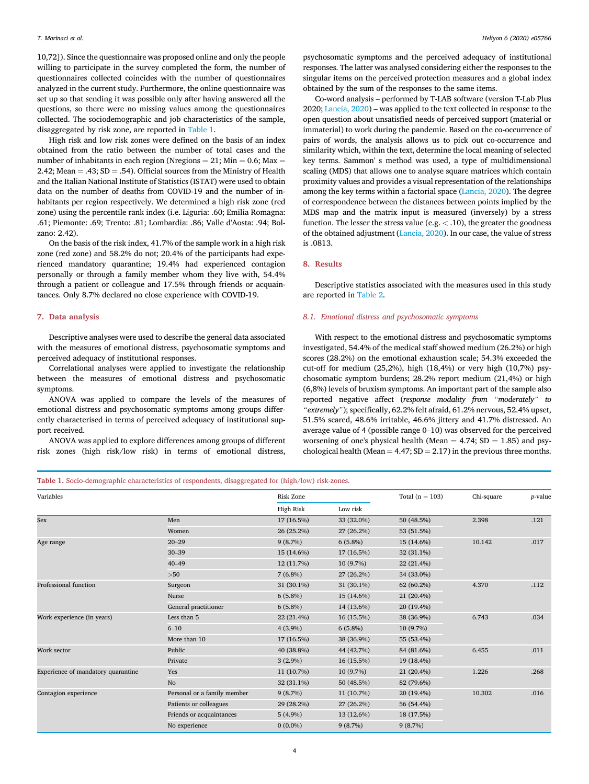10,72]). Since the questionnaire was proposed online and only the people willing to participate in the survey completed the form, the number of questionnaires collected coincides with the number of questionnaires analyzed in the current study. Furthermore, the online questionnaire was set up so that sending it was possible only after having answered all the questions, so there were no missing values among the questionnaires collected. The sociodemographic and job characteristics of the sample, disaggregated by risk zone, are reported in [Table 1](#page-3-0).

High risk and low risk zones were defined on the basis of an index obtained from the ratio between the number of total cases and the number of inhabitants in each region (Nregions = 21; Min = 0.6; Max = 2.42; Mean  $=$  .43; SD  $=$  .54). Official sources from the Ministry of Health and the Italian National Institute of Statistics (ISTAT) were used to obtain data on the number of deaths from COVID-19 and the number of inhabitants per region respectively. We determined a high risk zone (red zone) using the percentile rank index (i.e. Liguria: .60; Emilia Romagna: .61; Piemonte: .69; Trento: .81; Lombardia: .86; Valle d'Aosta: .94; Bolzano: 2.42).

On the basis of the risk index, 41.7% of the sample work in a high risk zone (red zone) and 58.2% do not; 20.4% of the participants had experienced mandatory quarantine; 19.4% had experienced contagion personally or through a family member whom they live with, 54.4% through a patient or colleague and 17.5% through friends or acquaintances. Only 8.7% declared no close experience with COVID-19.

# 7. Data analysis

Descriptive analyses were used to describe the general data associated with the measures of emotional distress, psychosomatic symptoms and perceived adequacy of institutional responses.

Correlational analyses were applied to investigate the relationship between the measures of emotional distress and psychosomatic symptoms.

ANOVA was applied to compare the levels of the measures of emotional distress and psychosomatic symptoms among groups differently characterised in terms of perceived adequacy of institutional support received.

ANOVA was applied to explore differences among groups of different risk zones (high risk/low risk) in terms of emotional distress,

psychosomatic symptoms and the perceived adequacy of institutional responses. The latter was analysed considering either the responses to the singular items on the perceived protection measures and a global index obtained by the sum of the responses to the same items.

Co-word analysis – performed by T-LAB software (version T-Lab Plus 2020; [Lancia, 2020](#page-8-35)) – was applied to the text collected in response to the open question about unsatisfied needs of perceived support (material or immaterial) to work during the pandemic. Based on the co-occurrence of pairs of words, the analysis allows us to pick out co-occurrence and similarity which, within the text, determine the local meaning of selected key terms. Sammon' s method was used, a type of multidimensional scaling (MDS) that allows one to analyse square matrices which contain proximity values and provides a visual representation of the relationships among the key terms within a factorial space [\(Lancia, 2020\)](#page-8-35). The degree of correspondence between the distances between points implied by the MDS map and the matrix input is measured (inversely) by a stress function. The lesser the stress value (e.g.  $<$  .10), the greater the goodness of the obtained adjustment [\(Lancia, 2020](#page-8-35)). In our case, the value of stress is .0813.

## 8. Results

Descriptive statistics associated with the measures used in this study are reported in [Table 2](#page-4-0).

# 8.1. Emotional distress and psychosomatic symptoms

With respect to the emotional distress and psychosomatic symptoms investigated, 54.4% of the medical staff showed medium (26.2%) or high scores (28.2%) on the emotional exhaustion scale; 54.3% exceeded the cut-off for medium (25,2%), high (18,4%) or very high (10,7%) psychosomatic symptom burdens; 28.2% report medium (21,4%) or high The constraint and the sample of bruxism symptoms. An important part of the sample also<br>
reported negative affect (*response modality from "moderately" to*<br>
reported negative affect (*response modality from "moderately" to* reported negative affect (response modality from "moderately" to "extremely"); specifically, 62.2% felt afraid, 61.2% nervous, 52.4% upset, 51.5% scared, 48.6% irritable, 46.6% jittery and 41.7% distressed. An average value of 4 (possible range 0–10) was observed for the perceived worsening of one's physical health (Mean  $= 4.74$ ; SD  $= 1.85$ ) and psychological health (Mean  $= 4.47$ ; SD  $= 2.17$ ) in the previous three months.

# <span id="page-3-0"></span>Table 1. Socio-demographic characteristics of respondents, disaggregated for (high/low) risk-zones.

| Variables                          |                             | Risk Zone  |            |            | Chi-square | p-value |
|------------------------------------|-----------------------------|------------|------------|------------|------------|---------|
|                                    |                             | High Risk  | Low risk   |            |            |         |
| Sex                                | Men                         | 17 (16.5%) | 33 (32.0%) | 50 (48.5%) | 2.398      | .121    |
|                                    | Women                       | 26 (25.2%) | 27 (26.2%) | 53 (51.5%) |            |         |
| Age range                          | $20 - 29$                   | 9(8.7%)    | $6(5.8\%)$ | 15 (14.6%) | 10.142     | .017    |
|                                    | $30 - 39$                   | 15 (14.6%) | 17 (16.5%) | 32 (31.1%) |            |         |
|                                    | $40 - 49$                   | 12 (11.7%) | 10 (9.7%)  | 22 (21.4%) |            |         |
|                                    | $>50$                       | $7(6.8\%)$ | 27 (26.2%) | 34 (33.0%) |            |         |
| Professional function              | Surgeon                     | 31 (30.1%) | 31 (30.1%) | 62 (60.2%) | 4.370      | .112    |
|                                    | Nurse                       | $6(5.8\%)$ | 15 (14.6%) | 21 (20.4%) |            |         |
|                                    | General practitioner        | $6(5.8\%)$ | 14 (13.6%) | 20 (19.4%) |            |         |
| Work experience (in years)         | Less than 5                 | 22 (21.4%) | 16 (15.5%) | 38 (36.9%) | 6.743      | .034    |
|                                    | $6 - 10$                    | $4(3.9\%)$ | $6(5.8\%)$ | 10 (9.7%)  |            |         |
|                                    | More than 10                | 17 (16.5%) | 38 (36.9%) | 55 (53.4%) |            |         |
| Work sector                        | Public                      | 40 (38.8%) | 44 (42.7%) | 84 (81.6%) | 6.455      | .011    |
|                                    | Private                     | $3(2.9\%)$ | 16 (15.5%) | 19 (18.4%) |            |         |
| Experience of mandatory quarantine | Yes                         | 11 (10.7%) | 10 (9.7%)  | 21 (20.4%) | 1.226      | .268    |
|                                    | N <sub>o</sub>              | 32 (31.1%) | 50 (48.5%) | 82 (79.6%) |            |         |
| Contagion experience               | Personal or a family member | 9(8.7%)    | 11 (10.7%) | 20 (19.4%) | 10.302     | .016    |
|                                    | Patients or colleagues      | 29 (28.2%) | 27 (26.2%) | 56 (54.4%) |            |         |
|                                    | Friends or acquaintances    | $5(4.9\%)$ | 13 (12.6%) | 18 (17.5%) |            |         |
|                                    | No experience               | $0(0.0\%)$ | 9(8.7%)    | 9(8.7%)    |            |         |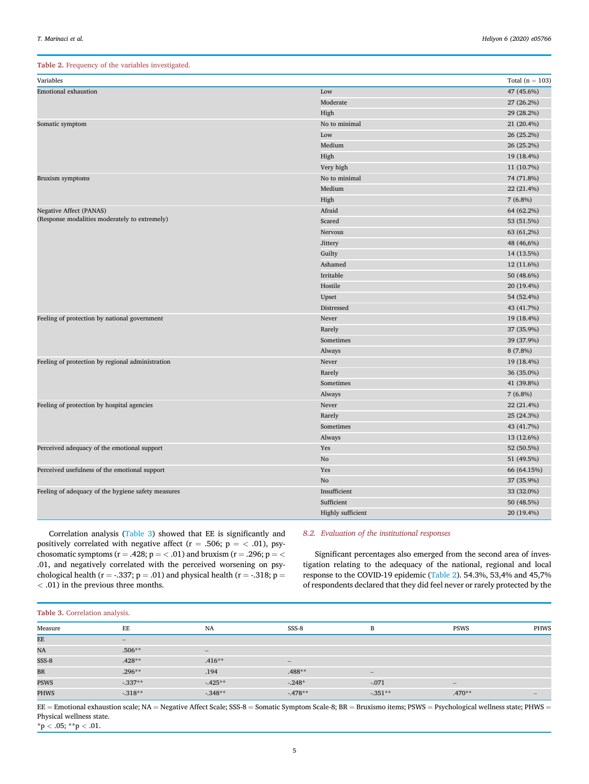## <span id="page-4-0"></span>Table 2. Frequency of the variables investigated.

| Variables                                          |                   | Total ( $n = 103$ ) |
|----------------------------------------------------|-------------------|---------------------|
| <b>Emotional exhaustion</b>                        | Low               | 47 (45.6%)          |
|                                                    | Moderate          | 27 (26.2%)          |
|                                                    | High              | 29 (28.2%)          |
| Somatic symptom                                    | No to minimal     | 21 (20.4%)          |
|                                                    | Low               | 26 (25.2%)          |
|                                                    | Medium            | 26 (25.2%)          |
|                                                    | High              | 19 (18.4%)          |
|                                                    | Very high         | 11 (10.7%)          |
| Bruxism symptoms                                   | No to minimal     | 74 (71.8%)          |
|                                                    | Medium            | 22 (21.4%)          |
|                                                    | High              | $7(6.8\%)$          |
| <b>Negative Affect (PANAS)</b>                     | Afraid            | 64 (62.2%)          |
| (Response modalities moderately to extremely)      | Scared            | 53 (51.5%)          |
|                                                    | Nervous           | 63 (61,2%)          |
|                                                    | Jittery           | 48 (46,6%)          |
|                                                    | Guilty            | 14 (13.5%)          |
|                                                    | Ashamed           | 12 (11.6%)          |
|                                                    | Irritable         | 50 (48.6%)          |
|                                                    | Hostile           | 20 (19.4%)          |
|                                                    | Upset             | 54 (52.4%)          |
|                                                    | Distressed        | 43 (41.7%)          |
| Feeling of protection by national government       | Never             | 19 (18.4%)          |
|                                                    | Rarely            | 37 (35.9%)          |
|                                                    | Sometimes         | 39 (37.9%)          |
|                                                    | Always            | 8 (7.8%)            |
| Feeling of protection by regional administration   | Never             | 19 (18.4%)          |
|                                                    | Rarely            | 36 (35.0%)          |
|                                                    | Sometimes         | 41 (39.8%)          |
|                                                    | Always            | $7(6.8\%)$          |
| Feeling of protection by hospital agencies         | Never             | 22 (21.4%)          |
|                                                    | Rarely            | 25 (24.3%)          |
|                                                    | Sometimes         | 43 (41.7%)          |
|                                                    | Always            | 13 (12.6%)          |
| Perceived adequacy of the emotional support        | Yes               | 52 (50.5%)          |
|                                                    | No                | 51 (49.5%)          |
| Perceived usefulness of the emotional support      | Yes               | 66 (64.15%)         |
|                                                    | N <sub>o</sub>    | 37 (35.9%)          |
| Feeling of adequacy of the hygiene safety measures | Insufficient      | 33 (32.0%)          |
|                                                    | Sufficient        | 50 (48.5%)          |
|                                                    | Highly sufficient | 20 (19.4%)          |

Correlation analysis ([Table 3\)](#page-4-1) showed that EE is significantly and positively correlated with negative affect ( $r = .506$ ;  $p = < .01$ ), psychosomatic symptoms ( $r = .428$ ;  $p = < .01$ ) and bruxism ( $r = .296$ ;  $p = <$ .01, and negatively correlated with the perceived worsening on psychological health ( $r = -.337$ ;  $p = .01$ ) and physical health ( $r = -.318$ ;  $p =$ < .01) in the previous three months.

# 8.2. Evaluation of the institutional responses

Significant percentages also emerged from the second area of investigation relating to the adequacy of the national, regional and local response to the COVID-19 epidemic ([Table 2\)](#page-4-0). 54.3%, 53,4% and 45,7% of respondents declared that they did feel never or rarely protected by the

# <span id="page-4-1"></span>Table 3. Correlation analysis.

| Measure     | EE                              | NA                              | SSS-8                           | B                               | <b>PSWS</b>                     | PHWS              |
|-------------|---------------------------------|---------------------------------|---------------------------------|---------------------------------|---------------------------------|-------------------|
| EE          | $\hspace{0.1mm}-\hspace{0.1mm}$ |                                 |                                 |                                 |                                 |                   |
| NA          | $.506**$                        | $\hspace{0.1mm}-\hspace{0.1mm}$ |                                 |                                 |                                 |                   |
| SSS-8       | $.428**$                        | $.416**$                        | $\hspace{0.1mm}-\hspace{0.1mm}$ |                                 |                                 |                   |
| <b>BR</b>   | $.296**$                        | .194                            | $.488**$                        | $\hspace{0.1mm}-\hspace{0.1mm}$ |                                 |                   |
| <b>PSWS</b> | $-337**$                        | $-425**$                        | $-248*$                         | $-.071$                         | $\hspace{0.1mm}-\hspace{0.1mm}$ |                   |
| <b>PHWS</b> | $-318**$                        | $-348**$                        | $-478**$                        | $-351**$                        | $.470**$                        | $\qquad \qquad -$ |
|             |                                 |                                 |                                 |                                 |                                 |                   |

 $EE =$  Emotional exhaustion scale; NA = Negative Affect Scale; SSS-8 = Somatic Symptom Scale-8; BR = Bruxismo items; PSWS = Psychological wellness state; PHWS = Physical wellness state.

 $*$ p < .05;  $*$  $*$ p < .01.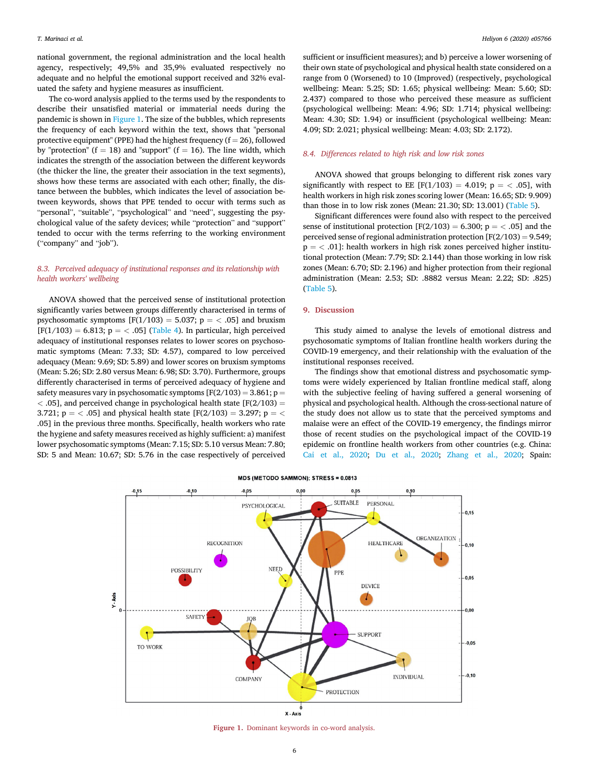national government, the regional administration and the local health agency, respectively; 49,5% and 35,9% evaluated respectively no adequate and no helpful the emotional support received and 32% evaluated the safety and hygiene measures as insufficient.

The co-word analysis applied to the terms used by the respondents to describe their unsatisfied material or immaterial needs during the pandemic is shown in [Figure 1.](#page-5-0) The size of the bubbles, which represents the frequency of each keyword within the text, shows that "personal protective equipment" (PPE) had the highest frequency ( $f = 26$ ), followed by "protection" ( $f = 18$ ) and "support" ( $f = 16$ ). The line width, which indicates the strength of the association between the different keywords (the thicker the line, the greater their association in the text segments), shows how these terms are associated with each other; finally, the distance between the bubbles, which indicates the level of association between keywords, shows that PPE tended to occur with terms such as "personal", "suitable", "psychological" and "need", suggesting the psychological value of the safety devices; while "protection" and "support" tended to occur with the terms referring to the working environment ("company" and "job").

# 8.3. Perceived adequacy of institutional responses and its relationship with health workers' wellbeing

ANOVA showed that the perceived sense of institutional protection significantly varies between groups differently characterised in terms of psychosomatic symptoms  $[F(1/103) = 5.037; p = < .05]$  and bruxism  $[F(1/103) = 6.813; p = < .05]$  ([Table 4](#page-6-0)). In particular, high perceived adequacy of institutional responses relates to lower scores on psychosomatic symptoms (Mean: 7.33; SD: 4.57), compared to low perceived adequacy (Mean: 9.69; SD: 5.89) and lower scores on bruxism symptoms (Mean: 5.26; SD: 2.80 versus Mean: 6.98; SD: 3.70). Furthermore, groups differently characterised in terms of perceived adequacy of hygiene and safety measures vary in psychosomatic symptoms  $[F(2/103) = 3.861; p =$  $<$  0.05], and perceived change in psychological health state [F(2/103) = 3.721;  $p = \langle .05]$  and physical health state [F(2/103) = 3.297; p =  $\langle$ .05] in the previous three months. Specifically, health workers who rate the hygiene and safety measures received as highly sufficient: a) manifest lower psychosomatic symptoms (Mean: 7.15; SD: 5.10 versus Mean: 7.80; SD: 5 and Mean: 10.67; SD: 5.76 in the case respectively of perceived

sufficient or insufficient measures); and b) perceive a lower worsening of their own state of psychological and physical health state considered on a range from 0 (Worsened) to 10 (Improved) (respectively, psychological wellbeing: Mean: 5.25; SD: 1.65; physical wellbeing: Mean: 5.60; SD: 2.437) compared to those who perceived these measure as sufficient (psychological wellbeing: Mean: 4.96; SD: 1.714; physical wellbeing: Mean: 4.30; SD: 1.94) or insufficient (psychological wellbeing: Mean: 4.09; SD: 2.021; physical wellbeing: Mean: 4.03; SD: 2.172).

# 8.4. Differences related to high risk and low risk zones

ANOVA showed that groups belonging to different risk zones vary significantly with respect to EE [F(1/103) = 4.019; p =  $<$  .05], with health workers in high risk zones scoring lower (Mean: 16.65; SD: 9.909) than those in to low risk zones (Mean: 21.30; SD: 13.001) ([Table 5](#page-6-1)).

Significant differences were found also with respect to the perceived sense of institutional protection  $[F(2/103) = 6.300; p = < .05]$  and the perceived sense of regional administration protection  $[F(2/103) = 9.549;$  $p = \langle .01]$ : health workers in high risk zones perceived higher institutional protection (Mean: 7.79; SD: 2.144) than those working in low risk zones (Mean: 6.70; SD: 2.196) and higher protection from their regional administration (Mean: 2.53; SD: .8882 versus Mean: 2.22; SD: .825) ([Table 5\)](#page-6-1).

# 9. Discussion

This study aimed to analyse the levels of emotional distress and psychosomatic symptoms of Italian frontline health workers during the COVID-19 emergency, and their relationship with the evaluation of the institutional responses received.

The findings show that emotional distress and psychosomatic symptoms were widely experienced by Italian frontline medical staff, along with the subjective feeling of having suffered a general worsening of physical and psychological health. Although the cross-sectional nature of the study does not allow us to state that the perceived symptoms and malaise were an effect of the COVID-19 emergency, the findings mirror those of recent studies on the psychological impact of the COVID-19 epidemic on frontline health workers from other countries (e.g. China: [Cai et al., 2020;](#page-8-5) [Du et al., 2020;](#page-8-6) [Zhang et al., 2020;](#page-9-3) Spain:

<span id="page-5-0"></span>

# MDS (METODO SAMMON); STRESS = 0.0813

Figure 1. Dominant keywords in co-word analysis.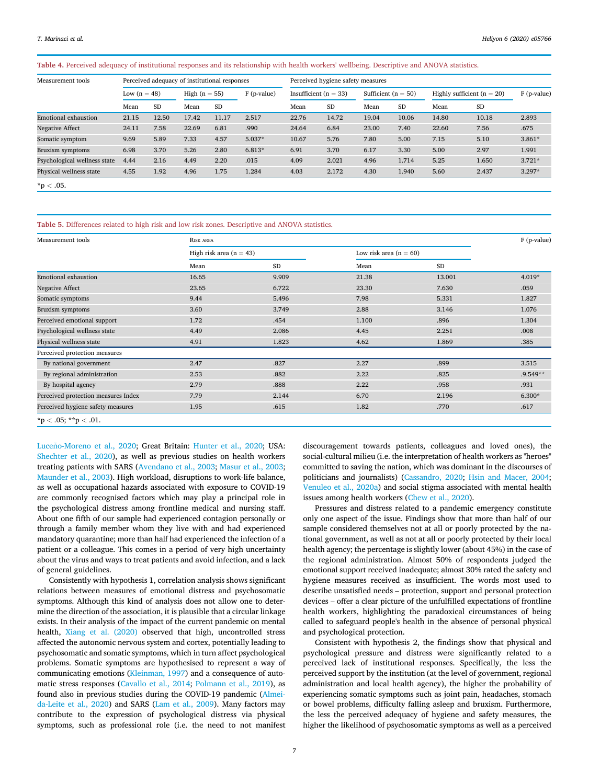# <span id="page-6-0"></span>Table 4. Perceived adequacy of institutional responses and its relationship with health workers' wellbeing. Descriptive and ANOVA statistics.

| Measurement tools            | Perceived adequacy of institutional responses |           |                 |           |               | Perceived hygiene safety measures |           |                         |           |                                |       |               |
|------------------------------|-----------------------------------------------|-----------|-----------------|-----------|---------------|-----------------------------------|-----------|-------------------------|-----------|--------------------------------|-------|---------------|
|                              | Low $(n = 48)$                                |           | High $(n = 55)$ |           | $F$ (p-value) | Insufficient ( $n = 33$ )         |           | Sufficient ( $n = 50$ ) |           | Highly sufficient ( $n = 20$ ) |       | $F$ (p-value) |
|                              | Mean                                          | <b>SD</b> | Mean            | <b>SD</b> |               | Mean                              | <b>SD</b> | Mean                    | <b>SD</b> | Mean                           | SD    |               |
| <b>Emotional exhaustion</b>  | 21.15                                         | 12.50     | 17.42           | 11.17     | 2.517         | 22.76                             | 14.72     | 19.04                   | 10.06     | 14.80                          | 10.18 | 2.893         |
| <b>Negative Affect</b>       | 24.11                                         | 7.58      | 22.69           | 6.81      | .990          | 24.64                             | 6.84      | 23.00                   | 7.40      | 22.60                          | 7.56  | .675          |
| Somatic symptom              | 9.69                                          | 5.89      | 7.33            | 4.57      | $5.037*$      | 10.67                             | 5.76      | 7.80                    | 5.00      | 7.15                           | 5.10  | $3.861*$      |
| Bruxism symptoms             | 6.98                                          | 3.70      | 5.26            | 2.80      | $6.813*$      | 6.91                              | 3.70      | 6.17                    | 3.30      | 5.00                           | 2.97  | 1.991         |
| Psychological wellness state | 4.44                                          | 2.16      | 4.49            | 2.20      | .015          | 4.09                              | 2.021     | 4.96                    | 1.714     | 5.25                           | 1.650 | $3.721*$      |
| Physical wellness state      | 4.55                                          | 1.92      | 4.96            | 1.75      | 1.284         | 4.03                              | 2.172     | 4.30                    | 1.940     | 5.60                           | 2.437 | $3.297*$      |
| $*{\rm p} < .05.$            |                                               |           |                 |           |               |                                   |           |                         |           |                                |       |               |

<span id="page-6-1"></span>Table 5. Differences related to high risk and low risk zones. Descriptive and ANOVA statistics.

| Measurement tools                   | RISK AREA                 |           |                          |           |            |  |  |
|-------------------------------------|---------------------------|-----------|--------------------------|-----------|------------|--|--|
|                                     | High risk area $(n = 43)$ |           | Low risk area $(n = 60)$ |           |            |  |  |
|                                     | Mean                      | <b>SD</b> | Mean                     | <b>SD</b> |            |  |  |
| <b>Emotional exhaustion</b>         | 16.65                     | 9.909     | 21.38                    | 13.001    | $4.019*$   |  |  |
| Negative Affect                     | 23.65                     | 6.722     | 23.30                    | 7.630     | .059       |  |  |
| Somatic symptoms                    | 9.44                      | 5.496     | 7.98                     | 5.331     | 1.827      |  |  |
| <b>Bruxism</b> symptoms             | 3.60                      | 3.749     | 2.88                     | 3.146     | 1.076      |  |  |
| Perceived emotional support         | 1.72                      | .454      | 1.100                    | .896      | 1.304      |  |  |
| Psychological wellness state        | 4.49                      | 2.086     | 4.45                     | 2.251     | .008       |  |  |
| Physical wellness state             | 4.91                      | 1.823     | 4.62                     | 1.869     | .385       |  |  |
| Perceived protection measures       |                           |           |                          |           |            |  |  |
| By national government              | 2.47                      | .827      | 2.27                     | .899      | 3.515      |  |  |
| By regional administration          | 2.53                      | .882      | 2.22                     | .825      | $.9.549**$ |  |  |
| By hospital agency                  | 2.79                      | .888      | 2.22                     | .958      | .931       |  |  |
| Perceived protection measures Index | 7.79                      | 2.144     | 6.70                     | 2.196     | $6.300*$   |  |  |
| Perceived hygiene safety measures   | 1.95                      | .615      | 1.82                     | .770      | .617       |  |  |

Luceño-Moreno et al., 2020; Great Britain: [Hunter et al., 2020;](#page-8-4) USA: [Shechter et al., 2020\)](#page-9-4), as well as previous studies on health workers treating patients with SARS [\(Avendano et al., 2003;](#page-8-7) [Masur et al., 2003;](#page-8-8) [Maunder et al., 2003](#page-8-33)). High workload, disruptions to work-life balance, as well as occupational hazards associated with exposure to COVID-19 are commonly recognised factors which may play a principal role in the psychological distress among frontline medical and nursing staff. About one fifth of our sample had experienced contagion personally or through a family member whom they live with and had experienced mandatory quarantine; more than half had experienced the infection of a patient or a colleague. This comes in a period of very high uncertainty about the virus and ways to treat patients and avoid infection, and a lack of general guidelines.

Consistently with hypothesis 1, correlation analysis shows significant relations between measures of emotional distress and psychosomatic symptoms. Although this kind of analysis does not allow one to determine the direction of the association, it is plausible that a circular linkage exists. In their analysis of the impact of the current pandemic on mental health, [Xiang et al. \(2020\)](#page-9-12) observed that high, uncontrolled stress affected the autonomic nervous system and cortex, potentially leading to psychosomatic and somatic symptoms, which in turn affect psychological problems. Somatic symptoms are hypothesised to represent a way of communicating emotions [\(Kleinman, 1997](#page-8-24)) and a consequence of automatic stress responses ([Cavallo et al., 2014;](#page-8-22) [Polmann et al., 2019](#page-8-36)), as found also in previous studies during the COVID-19 pandemic ([Almei](#page-8-23)[da-Leite et al., 2020\)](#page-8-23) and SARS [\(Lam et al., 2009](#page-8-25)). Many factors may contribute to the expression of psychological distress via physical symptoms, such as professional role (i.e. the need to not manifest discouragement towards patients, colleagues and loved ones), the social-cultural milieu (i.e. the interpretation of health workers as "heroes" committed to saving the nation, which was dominant in the discourses of politicians and journalists) ([Cassandro, 2020](#page-8-37); [Hsin and Macer, 2004;](#page-8-38) [Venuleo et al., 2020a](#page-9-13)) and social stigma associated with mental health issues among health workers ([Chew et al., 2020\)](#page-8-39).

Pressures and distress related to a pandemic emergency constitute only one aspect of the issue. Findings show that more than half of our sample considered themselves not at all or poorly protected by the national government, as well as not at all or poorly protected by their local health agency; the percentage is slightly lower (about 45%) in the case of the regional administration. Almost 50% of respondents judged the emotional support received inadequate; almost 30% rated the safety and hygiene measures received as insufficient. The words most used to describe unsatisfied needs – protection, support and personal protection devices – offer a clear picture of the unfulfilled expectations of frontline health workers, highlighting the paradoxical circumstances of being called to safeguard people's health in the absence of personal physical and psychological protection.

Consistent with hypothesis 2, the findings show that physical and psychological pressure and distress were significantly related to a perceived lack of institutional responses. Specifically, the less the perceived support by the institution (at the level of government, regional administration and local health agency), the higher the probability of experiencing somatic symptoms such as joint pain, headaches, stomach or bowel problems, difficulty falling asleep and bruxism. Furthermore, the less the perceived adequacy of hygiene and safety measures, the higher the likelihood of psychosomatic symptoms as well as a perceived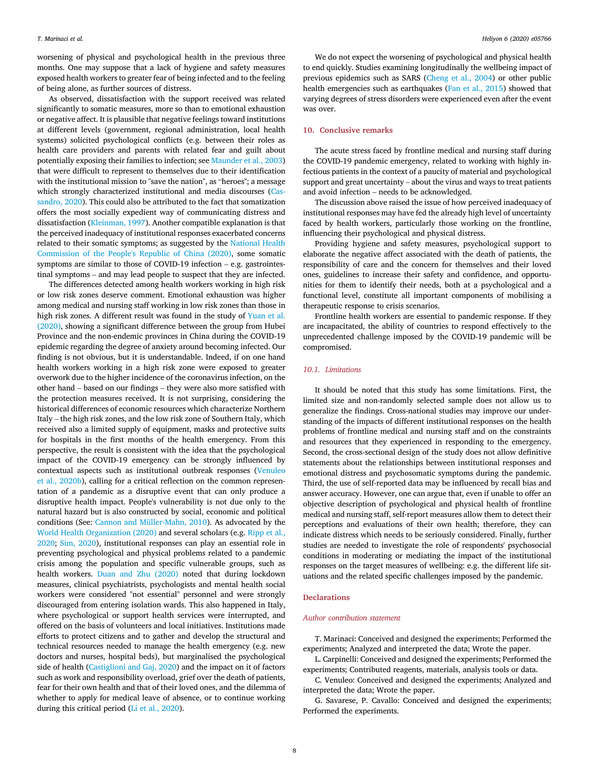worsening of physical and psychological health in the previous three months. One may suppose that a lack of hygiene and safety measures exposed health workers to greater fear of being infected and to the feeling of being alone, as further sources of distress.

As observed, dissatisfaction with the support received was related significantly to somatic measures, more so than to emotional exhaustion or negative affect. It is plausible that negative feelings toward institutions at different levels (government, regional administration, local health systems) solicited psychological conflicts (e.g. between their roles as health care providers and parents with related fear and guilt about potentially exposing their families to infection; see [Maunder et al., 2003\)](#page-8-33) that were difficult to represent to themselves due to their identification with the institutional mission to "save the nation", as "heroes"; a message which strongly characterized institutional and media discourses [\(Cas](#page-8-37)[sandro, 2020](#page-8-37)). This could also be attributed to the fact that somatization offers the most socially expedient way of communicating distress and dissatisfaction ([Kleinman, 1997](#page-8-24)). Another compatible explanation is that the perceived inadequacy of institutional responses exacerbated concerns related to their somatic symptoms; as suggested by the [National Health](#page-8-40) [Commission of the People's Republic of China \(2020\)](#page-8-40), some somatic symptoms are similar to those of COVID-19 infection – e.g. gastrointestinal symptoms – and may lead people to suspect that they are infected.

The differences detected among health workers working in high risk or low risk zones deserve comment. Emotional exhaustion was higher among medical and nursing staff working in low risk zones than those in high risk zones. A different result was found in the study of [Yuan et al.](#page-9-14) [\(2020\)](#page-9-14), showing a significant difference between the group from Hubei Province and the non-endemic provinces in China during the COVID-19 epidemic regarding the degree of anxiety around becoming infected. Our finding is not obvious, but it is understandable. Indeed, if on one hand health workers working in a high risk zone were exposed to greater overwork due to the higher incidence of the coronavirus infection, on the other hand – based on our findings – they were also more satisfied with the protection measures received. It is not surprising, considering the historical differences of economic resources which characterize Northern Italy – the high risk zones, and the low risk zone of Southern Italy, which received also a limited supply of equipment, masks and protective suits for hospitals in the first months of the health emergency. From this perspective, the result is consistent with the idea that the psychological impact of the COVID-19 emergency can be strongly influenced by contextual aspects such as institutional outbreak responses [\(Venuleo](#page-9-15) [et al., 2020b](#page-9-15)), calling for a critical reflection on the common representation of a pandemic as a disruptive event that can only produce a disruptive health impact. People's vulnerability is not due only to the natural hazard but is also constructed by social, economic and political conditions (See: [Cannon and Müller-Mahn, 2010](#page-8-41)). As advocated by the [World Health Organization \(2020\)](#page-9-16) and several scholars (e.g. [Ripp et al.,](#page-9-0) [2020;](#page-9-0) [Sim, 2020](#page-9-17)), institutional responses can play an essential role in preventing psychological and physical problems related to a pandemic crisis among the population and specific vulnerable groups, such as health workers. [Duan and Zhu \(2020\)](#page-8-42) noted that during lockdown measures, clinical psychiatrists, psychologists and mental health social workers were considered "not essential" personnel and were strongly discouraged from entering isolation wards. This also happened in Italy, where psychological or support health services were interrupted, and offered on the basis of volunteers and local initiatives. Institutions made efforts to protect citizens and to gather and develop the structural and technical resources needed to manage the health emergency (e.g. new doctors and nurses, hospital beds), but marginalised the psychological side of health ([Castiglioni and Gaj, 2020](#page-8-43)) and the impact on it of factors such as work and responsibility overload, grief over the death of patients, fear for their own health and that of their loved ones, and the dilemma of whether to apply for medical leave of absence, or to continue working during this critical period ([Li et al., 2020](#page-8-44)).

We do not expect the worsening of psychological and physical health to end quickly. Studies examining longitudinally the wellbeing impact of previous epidemics such as SARS ([Cheng et al., 2004\)](#page-8-45) or other public health emergencies such as earthquakes [\(Fan et al., 2015\)](#page-8-46) showed that varying degrees of stress disorders were experienced even after the event was over.

## 10. Conclusive remarks

The acute stress faced by frontline medical and nursing staff during the COVID-19 pandemic emergency, related to working with highly infectious patients in the context of a paucity of material and psychological support and great uncertainty – about the virus and ways to treat patients and avoid infection – needs to be acknowledged.

The discussion above raised the issue of how perceived inadequacy of institutional responses may have fed the already high level of uncertainty faced by health workers, particularly those working on the frontline, influencing their psychological and physical distress.

Providing hygiene and safety measures, psychological support to elaborate the negative affect associated with the death of patients, the responsibility of care and the concern for themselves and their loved ones, guidelines to increase their safety and confidence, and opportunities for them to identify their needs, both at a psychological and a functional level, constitute all important components of mobilising a therapeutic response to crisis scenarios.

Frontline health workers are essential to pandemic response. If they are incapacitated, the ability of countries to respond effectively to the unprecedented challenge imposed by the COVID-19 pandemic will be compromised.

# 10.1. Limitations

It should be noted that this study has some limitations. First, the limited size and non-randomly selected sample does not allow us to generalize the findings. Cross-national studies may improve our understanding of the impacts of different institutional responses on the health problems of frontline medical and nursing staff and on the constraints and resources that they experienced in responding to the emergency. Second, the cross-sectional design of the study does not allow definitive statements about the relationships between institutional responses and emotional distress and psychosomatic symptoms during the pandemic. Third, the use of self-reported data may be influenced by recall bias and answer accuracy. However, one can argue that, even if unable to offer an objective description of psychological and physical health of frontline medical and nursing staff, self-report measures allow them to detect their perceptions and evaluations of their own health; therefore, they can indicate distress which needs to be seriously considered. Finally, further studies are needed to investigate the role of respondents' psychosocial conditions in moderating or mediating the impact of the institutional responses on the target measures of wellbeing: e.g. the different life situations and the related specific challenges imposed by the pandemic.

#### **Declarations**

#### Author contribution statement

T. Marinaci: Conceived and designed the experiments; Performed the experiments; Analyzed and interpreted the data; Wrote the paper.

L. Carpinelli: Conceived and designed the experiments; Performed the experiments; Contributed reagents, materials, analysis tools or data.

C. Venuleo: Conceived and designed the experiments; Analyzed and interpreted the data; Wrote the paper.

G. Savarese, P. Cavallo: Conceived and designed the experiments; Performed the experiments.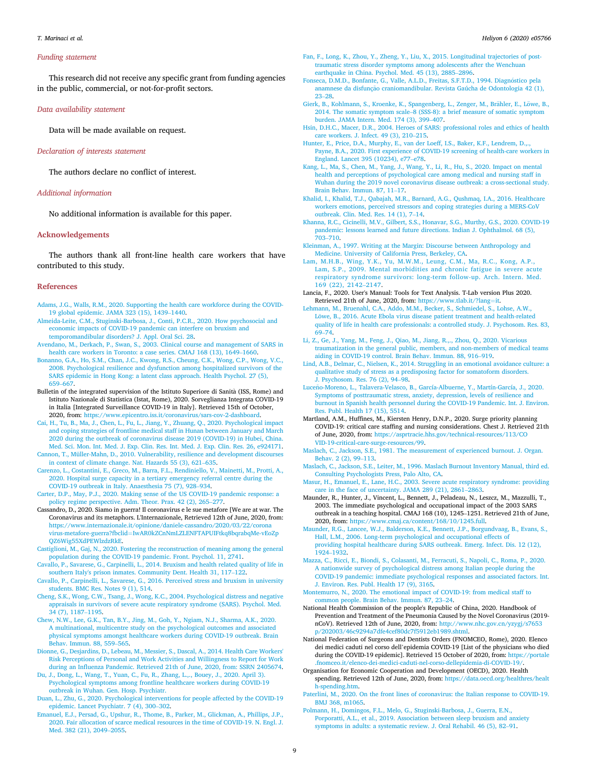#### T. Marinaci et al. Heliyon 6 (2020) e05766

#### Funding statement

This research did not receive any specific grant from funding agencies in the public, commercial, or not-for-profit sectors.

#### Data availability statement

Data will be made available on request.

## Declaration of interests statement

The authors declare no conflict of interest.

# Additional information

No additional information is available for this paper.

# Acknowledgements

The authors thank all front-line health care workers that have contributed to this study.

#### References

- <span id="page-8-10"></span>[Adams, J.G., Walls, R.M., 2020. Supporting the health care workforce during the COVID-](http://refhub.elsevier.com/S2405-8440(20)32609-8/sref1)[19 global epidemic. JAMA 323 \(15\), 1439](http://refhub.elsevier.com/S2405-8440(20)32609-8/sref1)–[1440](http://refhub.elsevier.com/S2405-8440(20)32609-8/sref1).
- <span id="page-8-23"></span>[Almeida-Leite, C.M., Stuginski-Barbosa, J., Conti, P.C.R., 2020. How psychosocial and](http://refhub.elsevier.com/S2405-8440(20)32609-8/sref2) [economic impacts of COVID-19 pandemic can interfere on bruxism and](http://refhub.elsevier.com/S2405-8440(20)32609-8/sref2) [temporomandibular disorders? J. Appl. Oral Sci. 28.](http://refhub.elsevier.com/S2405-8440(20)32609-8/sref2)
- <span id="page-8-7"></span>[Avendano, M., Derkach, P., Swan, S., 2003. Clinical course and management of SARS in](http://refhub.elsevier.com/S2405-8440(20)32609-8/sref3) [health care workers in Toronto: a case series. CMAJ 168 \(13\), 1649](http://refhub.elsevier.com/S2405-8440(20)32609-8/sref3)–[1660.](http://refhub.elsevier.com/S2405-8440(20)32609-8/sref3)
- <span id="page-8-32"></span>[Bonanno, G.A., Ho, S.M., Chan, J.C., Kwong, R.S., Cheung, C.K., Wong, C.P., Wong, V.C.,](http://refhub.elsevier.com/S2405-8440(20)32609-8/sref4) [2008. Psychological resilience and dysfunction among hospitalized survivors of the](http://refhub.elsevier.com/S2405-8440(20)32609-8/sref4) [SARS epidemic in Hong Kong: a latent class approach. Health Psychol. 27 \(5\),](http://refhub.elsevier.com/S2405-8440(20)32609-8/sref4) [659](http://refhub.elsevier.com/S2405-8440(20)32609-8/sref4)–[667](http://refhub.elsevier.com/S2405-8440(20)32609-8/sref4).
- <span id="page-8-16"></span>Bulletin of the integrated supervision of the Istituto Superiore di Sanità (ISS, Rome) and Istituto Nazionale di Statistica (Istat, Rome), 2020. Sorveglianza Integrata COVID-19 in Italia [Integrated Surveillance COVID-19 in Italy]. Retrieved 15th of October, 2020, from: [https://www.epicentro.iss.it/coronavirus/sars-cov-2-dashboard.](https://www.epicentro.iss.it/coronavirus/sars-cov-2-dashboard)
- <span id="page-8-5"></span>[Cai, H., Tu, B., Ma, J., Chen, L., Fu, L., Jiang, Y., Zhuang, Q., 2020. Psychological impact](http://refhub.elsevier.com/S2405-8440(20)32609-8/sref6) [and coping strategies of frontline medical staff in Hunan between January and March](http://refhub.elsevier.com/S2405-8440(20)32609-8/sref6) [2020 during the outbreak of coronavirus disease 2019 \(COVID-19\) in Hubei, China.](http://refhub.elsevier.com/S2405-8440(20)32609-8/sref6) [Med. Sci. Mon. Int. Med. J. Exp. Clin. Res. Int. Med. J. Exp. Clin. Res. 26, e924171.](http://refhub.elsevier.com/S2405-8440(20)32609-8/sref6)
- <span id="page-8-41"></span>[Cannon, T., Müller-Mahn, D., 2010. Vulnerability, resilience and development discourses](http://refhub.elsevier.com/S2405-8440(20)32609-8/sref7) [in context of climate change. Nat. Hazards 55 \(3\), 621](http://refhub.elsevier.com/S2405-8440(20)32609-8/sref7)–[635.](http://refhub.elsevier.com/S2405-8440(20)32609-8/sref7)
- <span id="page-8-18"></span>[Carenzo, L., Costantini, E., Greco, M., Barra, F.L., Rendiniello, V., Mainetti, M., Protti, A.,](http://refhub.elsevier.com/S2405-8440(20)32609-8/sref8) [2020. Hospital surge capacity in a tertiary emergency referral centre during the](http://refhub.elsevier.com/S2405-8440(20)32609-8/sref8) [COVID-19 outbreak in Italy. Anaesthesia 75 \(7\), 928](http://refhub.elsevier.com/S2405-8440(20)32609-8/sref8)–[934.](http://refhub.elsevier.com/S2405-8440(20)32609-8/sref8)
- <span id="page-8-0"></span>[Carter, D.P., May, P.J., 2020. Making sense of the US COVID-19 pandemic response: a](http://refhub.elsevier.com/S2405-8440(20)32609-8/sref9) [policy regime perspective. Adm. Theor. Prax. 42 \(2\), 265](http://refhub.elsevier.com/S2405-8440(20)32609-8/sref9)–[277.](http://refhub.elsevier.com/S2405-8440(20)32609-8/sref9)
- <span id="page-8-37"></span>Cassandro, D., 2020. Siamo in guerra! Il coronavirus e le sue metafore [We are at war. The Coronavirus and its metaphors. L'Internazionale, Retrieved 12th of June, 2020, from: [https://www.internazionale.it/opinione/daniele-cassandro/2020/03/22/corona](https://www.internazionale.it/opinione/daniele-cassandro/2020/03/22/coronavirus-metafore-guerra?fbclid=IwAR0kZCnNmLZLENFTAPUIFtkq8bqrabqMe-vEoZpQZ6Wig55XdPEWlzdzRkE) [virus-metafore-guerra?fbclid](https://www.internazionale.it/opinione/daniele-cassandro/2020/03/22/coronavirus-metafore-guerra?fbclid=IwAR0kZCnNmLZLENFTAPUIFtkq8bqrabqMe-vEoZpQZ6Wig55XdPEWlzdzRkE)=[IwAR0kZCnNmLZLENFTAPUIFtkq8bqrabqMe-vEoZp](https://www.internazionale.it/opinione/daniele-cassandro/2020/03/22/coronavirus-metafore-guerra?fbclid=IwAR0kZCnNmLZLENFTAPUIFtkq8bqrabqMe-vEoZpQZ6Wig55XdPEWlzdzRkE) [QZ6Wig55XdPEWlzdzRkE](https://www.internazionale.it/opinione/daniele-cassandro/2020/03/22/coronavirus-metafore-guerra?fbclid=IwAR0kZCnNmLZLENFTAPUIFtkq8bqrabqMe-vEoZpQZ6Wig55XdPEWlzdzRkE).
- <span id="page-8-43"></span>[Castiglioni, M., Gaj, N., 2020. Fostering the reconstruction of meaning among the general](http://refhub.elsevier.com/S2405-8440(20)32609-8/sref11) [population during the COVID-19 pandemic. Front. Psychol. 11, 2741.](http://refhub.elsevier.com/S2405-8440(20)32609-8/sref11)
- <span id="page-8-22"></span>[Cavallo, P., Savarese, G., Carpinelli, L., 2014. Bruxism and health related quality of life in](http://refhub.elsevier.com/S2405-8440(20)32609-8/sref12) [southern Italy's prison inmates. Community Dent. Health 31, 117](http://refhub.elsevier.com/S2405-8440(20)32609-8/sref12)–[122](http://refhub.elsevier.com/S2405-8440(20)32609-8/sref12).
- <span id="page-8-30"></span>[Cavallo, P., Carpinelli, L., Savarese, G., 2016. Perceived stress and bruxism in university](http://refhub.elsevier.com/S2405-8440(20)32609-8/sref13) [students. BMC Res. Notes 9 \(1\), 514](http://refhub.elsevier.com/S2405-8440(20)32609-8/sref13).
- <span id="page-8-45"></span>[Cheng, S.K., Wong, C.W., Tsang, J., Wong, K.C., 2004. Psychological distress and negative](http://refhub.elsevier.com/S2405-8440(20)32609-8/sref14) [appraisals in survivors of severe acute respiratory syndrome \(SARS\). Psychol. Med.](http://refhub.elsevier.com/S2405-8440(20)32609-8/sref14) [34 \(7\), 1187](http://refhub.elsevier.com/S2405-8440(20)32609-8/sref14)–[1195](http://refhub.elsevier.com/S2405-8440(20)32609-8/sref14).
- <span id="page-8-39"></span>[Chew, N.W., Lee, G.K., Tan, B.Y., Jing, M., Goh, Y., Ngiam, N.J., Sharma, A.K., 2020.](http://refhub.elsevier.com/S2405-8440(20)32609-8/sref15) [A multinational, multicentre study on the psychological outcomes and associated](http://refhub.elsevier.com/S2405-8440(20)32609-8/sref15) [physical symptoms amongst healthcare workers during COVID-19 outbreak. Brain](http://refhub.elsevier.com/S2405-8440(20)32609-8/sref15) [Behav. Immun. 88, 559](http://refhub.elsevier.com/S2405-8440(20)32609-8/sref15)–[565](http://refhub.elsevier.com/S2405-8440(20)32609-8/sref15).
- <span id="page-8-34"></span>[Dionne, G., Desjardins, D., Lebeau, M., Messier, S., Dascal, A., 2014. Health Care Workers'](http://refhub.elsevier.com/S2405-8440(20)32609-8/sref16) [Risk Perceptions of Personal and Work Activities and Willingness to Report for Work](http://refhub.elsevier.com/S2405-8440(20)32609-8/sref16) during an Infl[uenza Pandemic. Retrieved 21th of June, 2020, from: SSRN 2405674.](http://refhub.elsevier.com/S2405-8440(20)32609-8/sref16)
- <span id="page-8-6"></span>[Du, J., Dong, L., Wang, T., Yuan, C., Fu, R., Zhang, L.,., Bouey, J., 2020. April 3\).](http://refhub.elsevier.com/S2405-8440(20)32609-8/sref17) [Psychological symptoms among frontline healthcare workers during COVID-19](http://refhub.elsevier.com/S2405-8440(20)32609-8/sref17) [outbreak in Wuhan. Gen. Hosp. Psychiatr.](http://refhub.elsevier.com/S2405-8440(20)32609-8/sref17)
- <span id="page-8-42"></span>[Duan, L., Zhu, G., 2020. Psychological interventions for people affected by the COVID-19](http://refhub.elsevier.com/S2405-8440(20)32609-8/sref18) [epidemic. Lancet Psychiatr. 7 \(4\), 300](http://refhub.elsevier.com/S2405-8440(20)32609-8/sref18)–[302.](http://refhub.elsevier.com/S2405-8440(20)32609-8/sref18)
- <span id="page-8-14"></span>[Emanuel, E.J., Persad, G., Upshur, R., Thome, B., Parker, M., Glickman, A., Phillips, J.P.,](http://refhub.elsevier.com/S2405-8440(20)32609-8/sref19) [2020. Fair allocation of scarce medical resources in the time of COVID-19. N. Engl. J.](http://refhub.elsevier.com/S2405-8440(20)32609-8/sref19) [Med. 382 \(21\), 2049](http://refhub.elsevier.com/S2405-8440(20)32609-8/sref19)–[2055](http://refhub.elsevier.com/S2405-8440(20)32609-8/sref19).
- <span id="page-8-46"></span>[Fan, F., Long, K., Zhou, Y., Zheng, Y., Liu, X., 2015. Longitudinal trajectories of post](http://refhub.elsevier.com/S2405-8440(20)32609-8/sref20)[traumatic stress disorder symptoms among adolescents after the Wenchuan](http://refhub.elsevier.com/S2405-8440(20)32609-8/sref20) [earthquake in China. Psychol. Med. 45 \(13\), 2885](http://refhub.elsevier.com/S2405-8440(20)32609-8/sref20)–[2896](http://refhub.elsevier.com/S2405-8440(20)32609-8/sref20).
- <span id="page-8-31"></span>Fonseca, D.M.D., Bonfante, G., Valle, A.L.D., Freitas, S.F.T.D., 1994. Diagnóstico pela [anamnese da disfunç](http://refhub.elsevier.com/S2405-8440(20)32609-8/sref21)ã[o craniomandibular. Revista Gaúcha de Odontologia 42 \(1\),](http://refhub.elsevier.com/S2405-8440(20)32609-8/sref21) [23](http://refhub.elsevier.com/S2405-8440(20)32609-8/sref21)–[28](http://refhub.elsevier.com/S2405-8440(20)32609-8/sref21).
- <span id="page-8-29"></span>[Gierk, B., Kohlmann, S., Kroenke, K., Spangenberg, L., Zenger, M., Br](http://refhub.elsevier.com/S2405-8440(20)32609-8/sref22)ähler, E., Löwe, B., [2014. The somatic symptom scale](http://refhub.elsevier.com/S2405-8440(20)32609-8/sref22)–[8 \(SSS-8\): a brief measure of somatic symptom](http://refhub.elsevier.com/S2405-8440(20)32609-8/sref22) [burden. JAMA Intern. Med. 174 \(3\), 399](http://refhub.elsevier.com/S2405-8440(20)32609-8/sref22)–[407](http://refhub.elsevier.com/S2405-8440(20)32609-8/sref22).
- <span id="page-8-38"></span>[Hsin, D.H.C., Macer, D.R., 2004. Heroes of SARS: professional roles and ethics of health](http://refhub.elsevier.com/S2405-8440(20)32609-8/sref23) [care workers. J. Infect. 49 \(3\), 210](http://refhub.elsevier.com/S2405-8440(20)32609-8/sref23)–[215.](http://refhub.elsevier.com/S2405-8440(20)32609-8/sref23)
- <span id="page-8-4"></span>[Hunter, E., Price, D.A., Murphy, E., van der Loeff, I.S., Baker, K.F., Lendrem, D.,.,](http://refhub.elsevier.com/S2405-8440(20)32609-8/sref24) [Payne, B.A., 2020. First experience of COVID-19 screening of health-care workers in](http://refhub.elsevier.com/S2405-8440(20)32609-8/sref24) [England. Lancet 395 \(10234\), e77](http://refhub.elsevier.com/S2405-8440(20)32609-8/sref24)–[e78.](http://refhub.elsevier.com/S2405-8440(20)32609-8/sref24)
- <span id="page-8-12"></span>[Kang, L., Ma, S., Chen, M., Yang, J., Wang, Y., Li, R., Hu, S., 2020. Impact on mental](http://refhub.elsevier.com/S2405-8440(20)32609-8/sref25) [health and perceptions of psychological care among medical and nursing staff in](http://refhub.elsevier.com/S2405-8440(20)32609-8/sref25) [Wuhan during the 2019 novel coronavirus disease outbreak: a cross-sectional study.](http://refhub.elsevier.com/S2405-8440(20)32609-8/sref25) [Brain Behav. Immun. 87, 11](http://refhub.elsevier.com/S2405-8440(20)32609-8/sref25)–[17](http://refhub.elsevier.com/S2405-8440(20)32609-8/sref25).
- <span id="page-8-13"></span>[Khalid, I., Khalid, T.J., Qabajah, M.R., Barnard, A.G., Qushmaq, I.A., 2016. Healthcare](http://refhub.elsevier.com/S2405-8440(20)32609-8/sref26) [workers emotions, perceived stressors and coping strategies during a MERS-CoV](http://refhub.elsevier.com/S2405-8440(20)32609-8/sref26) [outbreak. Clin. Med. Res. 14 \(1\), 7](http://refhub.elsevier.com/S2405-8440(20)32609-8/sref26)–[14.](http://refhub.elsevier.com/S2405-8440(20)32609-8/sref26)
- <span id="page-8-19"></span>[Khanna, R.C., Cicinelli, M.V., Gilbert, S.S., Honavar, S.G., Murthy, G.S., 2020. COVID-19](http://refhub.elsevier.com/S2405-8440(20)32609-8/sref27) [pandemic: lessons learned and future directions. Indian J. Ophthalmol. 68 \(5\),](http://refhub.elsevier.com/S2405-8440(20)32609-8/sref27) .<br>[703](http://refhub.elsevier.com/S2405-8440(20)32609-8/sref27)–[710](http://refhub.elsevier.com/S2405-8440(20)32609-8/sref27).
- <span id="page-8-24"></span>[Kleinman, A., 1997. Writing at the Margin: Discourse between Anthropology and](http://refhub.elsevier.com/S2405-8440(20)32609-8/sref28) [Medicine. University of California Press, Berkeley, CA](http://refhub.elsevier.com/S2405-8440(20)32609-8/sref28).
- <span id="page-8-25"></span>[Lam, M.H.B., Wing, Y.K., Yu, M.W.M., Leung, C.M., Ma, R.C., Kong, A.P.,](http://refhub.elsevier.com/S2405-8440(20)32609-8/sref29) [Lam, S.P., 2009. Mental morbidities and chronic fatigue in severe acute](http://refhub.elsevier.com/S2405-8440(20)32609-8/sref29) [respiratory syndrome survivors: long-term follow-up. Arch. Intern. Med.](http://refhub.elsevier.com/S2405-8440(20)32609-8/sref29) [169 \(22\), 2142](http://refhub.elsevier.com/S2405-8440(20)32609-8/sref29)–[2147.](http://refhub.elsevier.com/S2405-8440(20)32609-8/sref29)
- <span id="page-8-35"></span>Lancia, F., 2020. User's Manual: Tools for Text Analysis. T-Lab version Plus 2020. Retrieved 21th of June, 2020, from: [https://www.tlab.it/?lang](https://www.tlab.it/?lang=it)=[it](https://www.tlab.it/?lang=it).
- <span id="page-8-9"></span>[Lehmann, M., Bruenahl, C.A., Addo, M.M., Becker, S., Schmiedel, S., Lohse, A.W.,](http://refhub.elsevier.com/S2405-8440(20)32609-8/sref31) Löwe, B., 2016. Acute Ebola virus disease patient treatment and health-related [quality of life in health care professionals: a controlled study. J. Psychosom. Res. 83,](http://refhub.elsevier.com/S2405-8440(20)32609-8/sref31) [69](http://refhub.elsevier.com/S2405-8440(20)32609-8/sref31)–[74](http://refhub.elsevier.com/S2405-8440(20)32609-8/sref31).
- <span id="page-8-44"></span>[Li, Z., Ge, J., Yang, M., Feng, J., Qiao, M., Jiang, R.,., Zhou, Q., 2020. Vicarious](http://refhub.elsevier.com/S2405-8440(20)32609-8/sref32) [traumatization in the general public, members, and non-members of medical teams](http://refhub.elsevier.com/S2405-8440(20)32609-8/sref32) [aiding in COVID-19 control. Brain Behav. Immun. 88, 916](http://refhub.elsevier.com/S2405-8440(20)32609-8/sref32)–[919.](http://refhub.elsevier.com/S2405-8440(20)32609-8/sref32)
- <span id="page-8-26"></span>[Lind, A.B., Delmar, C., Nielsen, K., 2014. Struggling in an emotional avoidance culture: a](http://refhub.elsevier.com/S2405-8440(20)32609-8/sref33) [qualitative study of stress as a predisposing factor for somatoform disorders.](http://refhub.elsevier.com/S2405-8440(20)32609-8/sref33) [J. Psychosom. Res. 76 \(2\), 94](http://refhub.elsevier.com/S2405-8440(20)32609-8/sref33)–[98.](http://refhub.elsevier.com/S2405-8440(20)32609-8/sref33)
- <span id="page-8-3"></span>Luceño-Moreno, L., Talavera-Velasco, B., García-Albuerne, Y., Martín-García, J., 2020. [Symptoms of posttraumatic stress, anxiety, depression, levels of resilience and](http://refhub.elsevier.com/S2405-8440(20)32609-8/sref34) [burnout in Spanish health personnel during the COVID-19 Pandemic. Int. J. Environ.](http://refhub.elsevier.com/S2405-8440(20)32609-8/sref34) [Res. Publ. Health 17 \(15\), 5514.](http://refhub.elsevier.com/S2405-8440(20)32609-8/sref34)
- <span id="page-8-15"></span>Martland, A.M., Huffines, M., Kiersten Henry, D.N.P., 2020. Surge priority planning COVID-19: critical care staffing and nursing considerations. Chest J. Retrieved 21th of June, 2020, from: [https://asprtracie.hhs.gov/technical-resources/113/CO](https://asprtracie.hhs.gov/technical-resources/113/COVID-19-critical-care-surge-resources/99) [VID-19-critical-care-surge-resources/99.](https://asprtracie.hhs.gov/technical-resources/113/COVID-19-critical-care-surge-resources/99)
- <span id="page-8-27"></span>[Maslach, C., Jackson, S.E., 1981. The measurement of experienced burnout. J. Organ.](http://refhub.elsevier.com/S2405-8440(20)32609-8/sref36) [Behav. 2 \(2\), 99](http://refhub.elsevier.com/S2405-8440(20)32609-8/sref36)–[113.](http://refhub.elsevier.com/S2405-8440(20)32609-8/sref36)
- <span id="page-8-28"></span>[Maslach, C., Jackson, S.E., Leiter, M., 1996. Maslach Burnout Inventory Manual, third ed.](http://refhub.elsevier.com/S2405-8440(20)32609-8/sref37) [Consulting Psychologists Press, Palo Alto, CA](http://refhub.elsevier.com/S2405-8440(20)32609-8/sref37).
- <span id="page-8-8"></span>[Masur, H., Emanuel, E., Lane, H.C., 2003. Severe acute respiratory syndrome: providing](http://refhub.elsevier.com/S2405-8440(20)32609-8/sref38) [care in the face of uncertainty. JAMA 289 \(21\), 2861](http://refhub.elsevier.com/S2405-8440(20)32609-8/sref38)–[2863.](http://refhub.elsevier.com/S2405-8440(20)32609-8/sref38)
- <span id="page-8-33"></span>Maunder, R., Hunter, J., Vincent, L., Bennett, J., Peladeau, N., Leszcz, M., Mazzulli, T., 2003. The immediate psychological and occupational impact of the 2003 SARS outbreak in a teaching hospital. CMAJ 168 (10), 1245–1251. Retrieved 21th of June, 2020, from: [https://www.cmaj.ca/content/168/10/1245.full.](https://www.cmaj.ca/content/168/10/1245.full)
- <span id="page-8-11"></span>[Maunder, R.G., Lancee, W.J., Balderson, K.E., Bennett, J.P., Borgundvaag, B., Evans, S.,](http://refhub.elsevier.com/S2405-8440(20)32609-8/sref40) [Hall, L.M., 2006. Long-term psychological and occupational effects of](http://refhub.elsevier.com/S2405-8440(20)32609-8/sref40) [providing hospital healthcare during SARS outbreak. Emerg. Infect. Dis. 12 \(12\),](http://refhub.elsevier.com/S2405-8440(20)32609-8/sref40) [1924](http://refhub.elsevier.com/S2405-8440(20)32609-8/sref40)–[1932](http://refhub.elsevier.com/S2405-8440(20)32609-8/sref40).
- <span id="page-8-1"></span>[Mazza, C., Ricci, E., Biondi, S., Colasanti, M., Ferracuti, S., Napoli, C., Roma, P., 2020.](http://refhub.elsevier.com/S2405-8440(20)32609-8/sref41) [A nationwide survey of psychological distress among Italian people during the](http://refhub.elsevier.com/S2405-8440(20)32609-8/sref41) [COVID-19 pandemic: immediate psychological responses and associated factors. Int.](http://refhub.elsevier.com/S2405-8440(20)32609-8/sref41) [J. Environ. Res. Publ. Health 17 \(9\), 3165](http://refhub.elsevier.com/S2405-8440(20)32609-8/sref41).
- <span id="page-8-2"></span>[Montemurro, N., 2020. The emotional impact of COVID-19: from medical staff to](http://refhub.elsevier.com/S2405-8440(20)32609-8/sref42) [common people. Brain Behav. Immun. 87, 23](http://refhub.elsevier.com/S2405-8440(20)32609-8/sref42)–[24.](http://refhub.elsevier.com/S2405-8440(20)32609-8/sref42)
- <span id="page-8-40"></span>National Health Commission of the people's Republic of China, 2020. Handbook of Prevention and Treatment of the Pneumonia Caused by the Novel Coronavirus (2019 nCoV). Retrieved 12th of June, 2020, from: [http://www.nhc.gov.cn/yzygj/s7653](http://www.nhc.gov.cn/yzygj/s7653p/202003/46c9294a7dfe4cef80dc7f5912eb1989.shtml) [p/202003/46c9294a7dfe4cef80dc7f5912eb1989.shtml.](http://www.nhc.gov.cn/yzygj/s7653p/202003/46c9294a7dfe4cef80dc7f5912eb1989.shtml)
- <span id="page-8-17"></span>National Federation of Surgeons and Dentists Orders (FNOMCEO, Rome), 2020. Elenco dei medici caduti nel corso dell'epidemia COVID-19 [List of the physicians who died during the COVID-19 epidemic]. Retrieved 15 October of 2020, from: [https://portale](https://portale.fnomceo.it/elenco-dei-medici-caduti-nel-corso-dellepidemia-di-COVID-19/) [.fnomceo.it/elenco-dei-medici-caduti-nel-corso-dellepidemia-di-COVID-19/.](https://portale.fnomceo.it/elenco-dei-medici-caduti-nel-corso-dellepidemia-di-COVID-19/)
- <span id="page-8-21"></span>Organisation for Economic Cooperation and Development (OECD), 2020. Health spending. Retrieved 12th of June, 2020, from: [https://data.oecd.org/healthres/healt](https://data.oecd.org/healthres/health-spending.htm) [h-spending.htm](https://data.oecd.org/healthres/health-spending.htm).
- <span id="page-8-20"></span>[Paterlini, M., 2020. On the front lines of coronavirus: the Italian response to COVID-19.](http://refhub.elsevier.com/S2405-8440(20)32609-8/sref46) [BMJ 368, m1065.](http://refhub.elsevier.com/S2405-8440(20)32609-8/sref46)
- <span id="page-8-36"></span>[Polmann, H., Domingos, F.L., Melo, G., Stuginski-Barbosa, J., Guerra, E.N.,](http://refhub.elsevier.com/S2405-8440(20)32609-8/sref47) [Porporatti, A.L., et al., 2019. Association between sleep bruxism and anxiety](http://refhub.elsevier.com/S2405-8440(20)32609-8/sref47) [symptoms in adults: a systematic review. J. Oral Rehabil. 46 \(5\), 82](http://refhub.elsevier.com/S2405-8440(20)32609-8/sref47)–[91](http://refhub.elsevier.com/S2405-8440(20)32609-8/sref47).